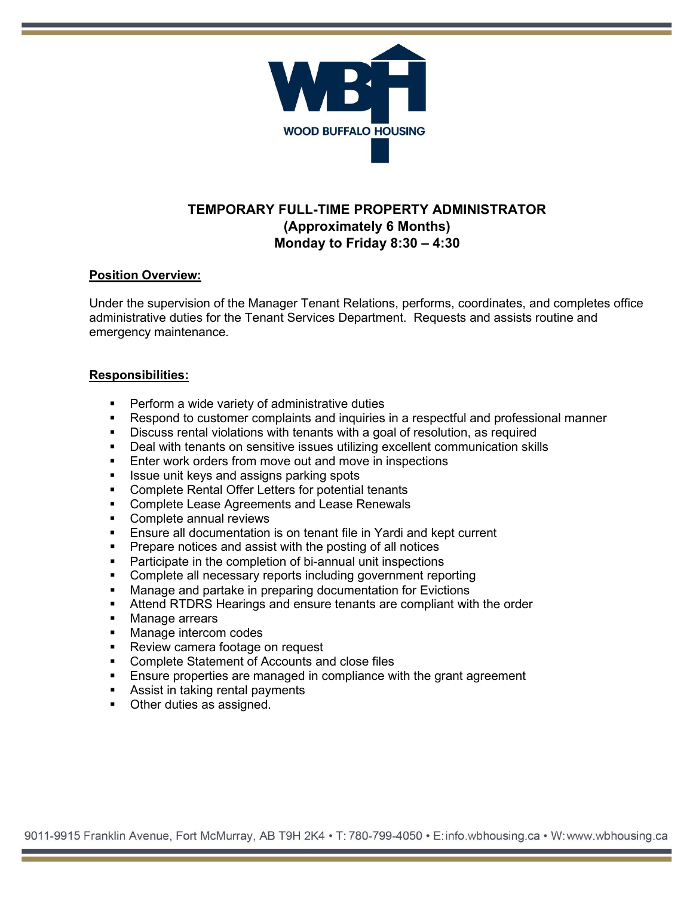

# **TEMPORARY FULL-TIME PROPERTY ADMINISTRATOR (Approximately 6 Months) Monday to Friday 8:30 – 4:30**

### **Position Overview:**

Under the supervision of the Manager Tenant Relations, performs, coordinates, and completes office administrative duties for the Tenant Services Department. Requests and assists routine and emergency maintenance.

#### **Responsibilities:**

- Perform a wide variety of administrative duties
- Respond to customer complaints and inquiries in a respectful and professional manner
- Discuss rental violations with tenants with a goal of resolution, as required
- Deal with tenants on sensitive issues utilizing excellent communication skills
- Enter work orders from move out and move in inspections
- Issue unit keys and assigns parking spots
- **EXECOMPLEE Rental Offer Letters for potential tenants**
- **Complete Lease Agreements and Lease Renewals**
- Complete annual reviews
- Ensure all documentation is on tenant file in Yardi and kept current
- **Prepare notices and assist with the posting of all notices**
- **Participate in the completion of bi-annual unit inspections**
- Complete all necessary reports including government reporting
- **Manage and partake in preparing documentation for Evictions**
- Attend RTDRS Hearings and ensure tenants are compliant with the order
- **Manage arrears**
- **Manage intercom codes**
- Review camera footage on request
- Complete Statement of Accounts and close files
- **Ensure properties are managed in compliance with the grant agreement**
- **Assist in taking rental payments**
- Other duties as assigned.

9011-9915 Franklin Avenue, Fort McMurray, AB T9H 2K4 • T: 780-799-4050 • E:info.wbhousing.ca • W:www.wbhousing.ca